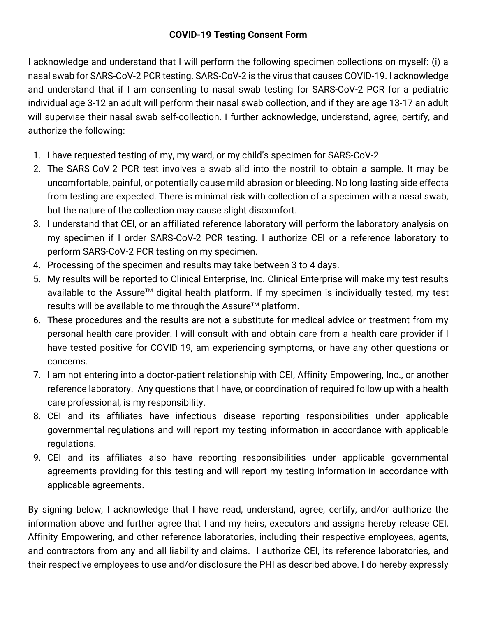## **COVID-19 Testing Consent Form**

I acknowledge and understand that I will perform the following specimen collections on myself: (i) a nasal swab for SARS-CoV-2 PCR testing. SARS-CoV-2 is the virus that causes COVID-19. I acknowledge and understand that if I am consenting to nasal swab testing for SARS-CoV-2 PCR for a pediatric individual age 3-12 an adult will perform their nasal swab collection, and if they are age 13-17 an adult will supervise their nasal swab self-collection. I further acknowledge, understand, agree, certify, and authorize the following:

- 1. I have requested testing of my, my ward, or my child's specimen for SARS-CoV-2.
- 2. The SARS-CoV-2 PCR test involves a swab slid into the nostril to obtain a sample. It may be uncomfortable, painful, or potentially cause mild abrasion or bleeding. No long-lasting side effects from testing are expected. There is minimal risk with collection of a specimen with a nasal swab, but the nature of the collection may cause slight discomfort.
- 3. I understand that CEI, or an affiliated reference laboratory will perform the laboratory analysis on my specimen if I order SARS-CoV-2 PCR testing. I authorize CEI or a reference laboratory to perform SARS-CoV-2 PCR testing on my specimen.
- 4. Processing of the specimen and results may take between 3 to 4 days.
- 5. My results will be reported to Clinical Enterprise, Inc. Clinical Enterprise will make my test results available to the Assure™ digital health platform. If my specimen is individually tested, my test results will be available to me through the Assure<sup>TM</sup> platform.
- 6. These procedures and the results are not a substitute for medical advice or treatment from my personal health care provider. I will consult with and obtain care from a health care provider if I have tested positive for COVID-19, am experiencing symptoms, or have any other questions or concerns.
- 7. I am not entering into a doctor-patient relationship with CEI, Affinity Empowering, Inc., or another reference laboratory. Any questions that I have, or coordination of required follow up with a health care professional, is my responsibility.
- 8. CEI and its affiliates have infectious disease reporting responsibilities under applicable governmental regulations and will report my testing information in accordance with applicable regulations.
- 9. CEI and its affiliates also have reporting responsibilities under applicable governmental agreements providing for this testing and will report my testing information in accordance with applicable agreements.

By signing below, I acknowledge that I have read, understand, agree, certify, and/or authorize the information above and further agree that I and my heirs, executors and assigns hereby release CEI, Affinity Empowering, and other reference laboratories, including their respective employees, agents, and contractors from any and all liability and claims. I authorize CEI, its reference laboratories, and their respective employees to use and/or disclosure the PHI as described above. I do hereby expressly